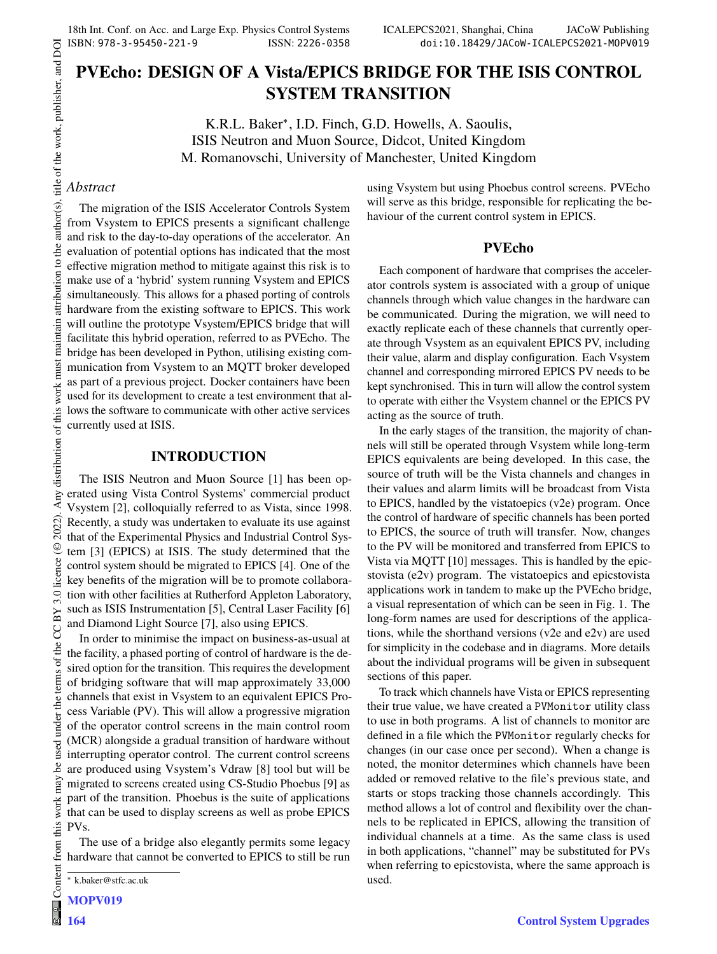# **PVEcho: DESIGN OF A Vista/EPICS BRIDGE FOR THE ISIS CONTROL SYSTEM TRANSITION**

K.R.L. Baker<sup>∗</sup> , I.D. Finch, G.D. Howells, A. Saoulis, ISIS Neutron and Muon Source, Didcot, United Kingdom M. Romanovschi, University of Manchester, United Kingdom

# *Abstract*

The migration of the ISIS Accelerator Controls System from Vsystem to EPICS presents a significant challenge and risk to the day-to-day operations of the accelerator. An evaluation of potential options has indicated that the most effective migration method to mitigate against this risk is to make use of a 'hybrid' system running Vsystem and EPICS simultaneously. This allows for a phased porting of controls hardware from the existing software to EPICS. This work will outline the prototype Vsystem/EPICS bridge that will facilitate this hybrid operation, referred to as PVEcho. The bridge has been developed in Python, utilising existing communication from Vsystem to an MQTT broker developed as part of a previous project. Docker containers have been used for its development to create a test environment that allows the software to communicate with other active services currently used at ISIS.

## **INTRODUCTION**

The ISIS Neutron and Muon Source [1] has been operated using Vista Control Systems' commercial product Vsystem [2], colloquially referred to as Vista, since 1998. Recently, a study was undertaken to evaluate its use against that of the Experimental Physics and Industrial Control System [3] (EPICS) at ISIS. The study determined that the control system should be migrated to EPICS [4]. One of the key benefits of the migration will be to promote collaboration with other facilities at Rutherford Appleton Laboratory, such as ISIS Instrumentation [5], Central Laser Facility [6] and Diamond Light Source [7], also using EPICS.

In order to minimise the impact on business-as-usual at the facility, a phased porting of control of hardware is the desired option for the transition. This requires the development of bridging software that will map approximately 33,000 channels that exist in Vsystem to an equivalent EPICS Process Variable (PV). This will allow a progressive migration of the operator control screens in the main control room (MCR) alongside a gradual transition of hardware without interrupting operator control. The current control screens are produced using Vsystem's Vdraw [8] tool but will be migrated to screens created using CS-Studio Phoebus [9] as part of the transition. Phoebus is the suite of applications that can be used to display screens as well as probe EPICS PVs.

The use of a bridge also elegantly permits some legacy hardware that cannot be converted to EPICS to still be run using Vsystem but using Phoebus control screens. PVEcho will serve as this bridge, responsible for replicating the behaviour of the current control system in EPICS.

## **PVEcho**

Each component of hardware that comprises the accelerator controls system is associated with a group of unique channels through which value changes in the hardware can be communicated. During the migration, we will need to exactly replicate each of these channels that currently operate through Vsystem as an equivalent EPICS PV, including their value, alarm and display configuration. Each Vsystem channel and corresponding mirrored EPICS PV needs to be kept synchronised. This in turn will allow the control system to operate with either the Vsystem channel or the EPICS PV acting as the source of truth.

In the early stages of the transition, the majority of channels will still be operated through Vsystem while long-term EPICS equivalents are being developed. In this case, the source of truth will be the Vista channels and changes in their values and alarm limits will be broadcast from Vista to EPICS, handled by the vistatoepics (v2e) program. Once the control of hardware of specific channels has been ported to EPICS, the source of truth will transfer. Now, changes to the PV will be monitored and transferred from EPICS to Vista via MQTT [10] messages. This is handled by the epicstovista (e2v) program. The vistatoepics and epicstovista applications work in tandem to make up the PVEcho bridge, a visual representation of which can be seen in Fig. 1. The long-form names are used for descriptions of the applications, while the shorthand versions (v2e and e2v) are used for simplicity in the codebase and in diagrams. More details about the individual programs will be given in subsequent sections of this paper.

To track which channels have Vista or EPICS representing their true value, we have created a PVMonitor utility class to use in both programs. A list of channels to monitor are defined in a file which the PVMonitor regularly checks for changes (in our case once per second). When a change is noted, the monitor determines which channels have been added or removed relative to the file's previous state, and starts or stops tracking those channels accordingly. This method allows a lot of control and flexibility over the channels to be replicated in EPICS, allowing the transition of individual channels at a time. As the same class is used in both applications, "channel" may be substituted for PVs when referring to epicstovista, where the same approach is used.

<sup>∗</sup> k.baker@stfc.ac.uk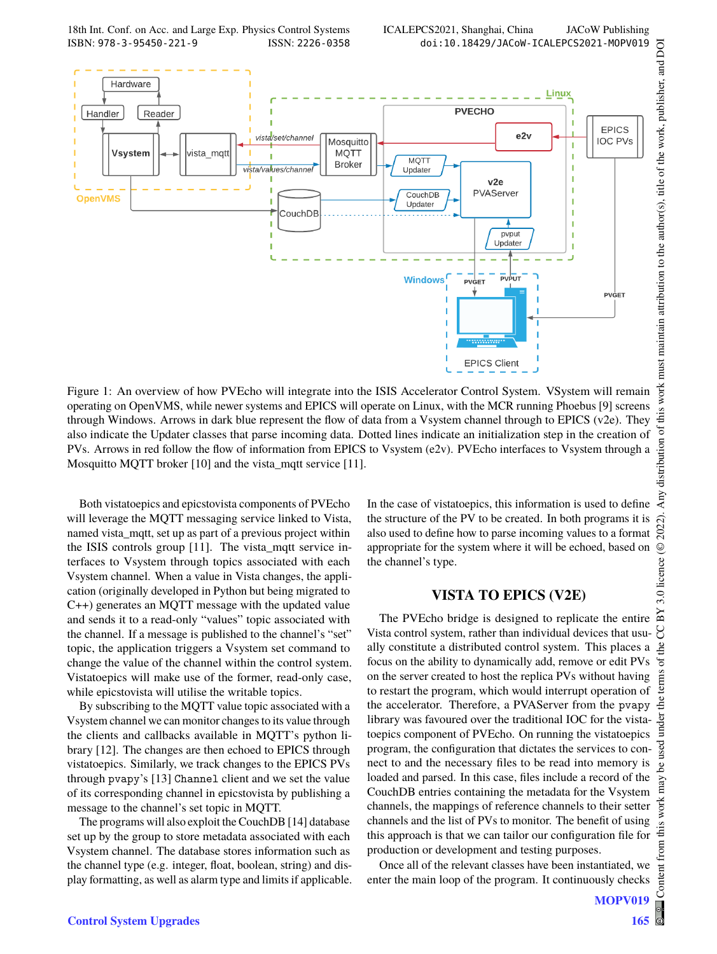18th Int. Conf. on Acc. and Large Exp. Physics Control Systems ICALEPCS2021, Shanghai, China JACoW Publishing ISBN: 978-3-95450-221-9 ISSN: 2226-0358 doi:10.18429/JACoW-ICALEPCS2021-MOPV019



Figure 1: An overview of how PVEcho will integrate into the ISIS Accelerator Control System. VSystem will remain operating on OpenVMS, while newer systems and EPICS will operate on Linux, with the MCR running Phoebus [9] screens through Windows. Arrows in dark blue represent the flow of data from a Vsystem channel through to EPICS (v2e). They also indicate the Updater classes that parse incoming data. Dotted lines indicate an initialization step in the creation of PVs. Arrows in red follow the flow of information from EPICS to Vsystem (e2v). PVEcho interfaces to Vsystem through a Mosquitto MQTT broker [10] and the vista\_mqtt service [11].

Both vistatoepics and epicstovista components of PVEcho will leverage the MQTT messaging service linked to Vista, named vista mqtt, set up as part of a previous project within the ISIS controls group [11]. The vista\_mqtt service interfaces to Vsystem through topics associated with each Vsystem channel. When a value in Vista changes, the application (originally developed in Python but being migrated to C++) generates an MQTT message with the updated value and sends it to a read-only "values" topic associated with the channel. If a message is published to the channel's "set" topic, the application triggers a Vsystem set command to change the value of the channel within the control system. Vistatoepics will make use of the former, read-only case, while epicstovista will utilise the writable topics.

By subscribing to the MQTT value topic associated with a Vsystem channel we can monitor changes to its value through the clients and callbacks available in MQTT's python library [12]. The changes are then echoed to EPICS through vistatoepics. Similarly, we track changes to the EPICS PVs through pvapy's [13] Channel client and we set the value of its corresponding channel in epicstovista by publishing a message to the channel's set topic in MQTT.

The programs will also exploit the CouchDB [14] database set up by the group to store metadata associated with each Vsystem channel. The database stores information such as the channel type (e.g. integer, float, boolean, string) and display formatting, as well as alarm type and limits if applicable. In the case of vistatoepics, this information is used to define the structure of the PV to be created. In both programs it is also used to define how to parse incoming values to a format appropriate for the system where it will be echoed, based on the channel's type.

#### **VISTA TO EPICS (V2E)**

The PVEcho bridge is designed to replicate the entire Vista control system, rather than individual devices that usually constitute a distributed control system. This places a focus on the ability to dynamically add, remove or edit PVs on the server created to host the replica PVs without having to restart the program, which would interrupt operation of the accelerator. Therefore, a PVAServer from the pvapy library was favoured over the traditional IOC for the vistatoepics component of PVEcho. On running the vistatoepics program, the configuration that dictates the services to connect to and the necessary files to be read into memory is loaded and parsed. In this case, files include a record of the CouchDB entries containing the metadata for the Vsystem channels, the mappings of reference channels to their setter channels and the list of PVs to monitor. The benefit of using this approach is that we can tailor our configuration file for production or development and testing purposes.

Once all of the relevant classes have been instantiated, we enter the main loop of the program. It continuously checks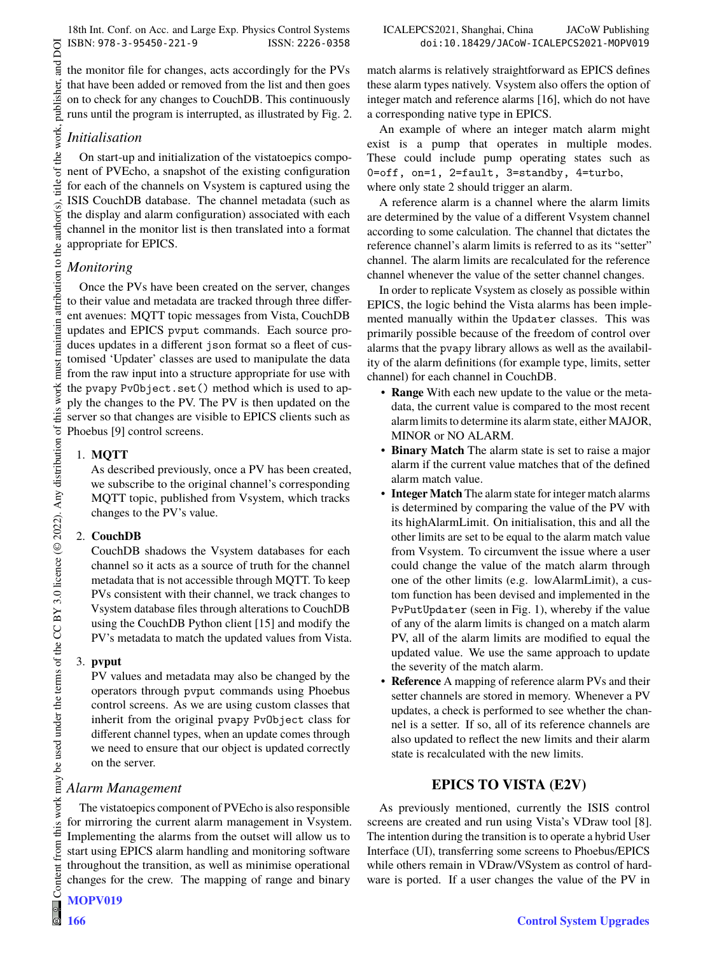18th Int. Conf. on Acc. and Large Exp. Physics Control Systems ICALEPCS2021, Shanghai, China JACoW Publishing<br>1918 - ICALEPCS2021, Shanghai, China JACoW Publishing<br>1918 - ICALEPCS2021, Shanghai, China JACoW Publishing ISBN: 978-3-95450-221-9 ISSN: 2226-0358 doi:10.18429/JACoW-ICALEPCS2021-MOPV019

the monitor file for changes, acts accordingly for the PVs that have been added or removed from the list and then goes on to check for any changes to CouchDB. This continuously runs until the program is interrupted, as illustrated by Fig. 2.

# *Initialisation*

On start-up and initialization of the vistatoepics component of PVEcho, a snapshot of the existing configuration for each of the channels on Vsystem is captured using the ISIS CouchDB database. The channel metadata (such as the display and alarm configuration) associated with each channel in the monitor list is then translated into a format appropriate for EPICS.

# *Monitoring*

Once the PVs have been created on the server, changes to their value and metadata are tracked through three different avenues: MQTT topic messages from Vista, CouchDB updates and EPICS pvput commands. Each source produces updates in a different json format so a fleet of customised 'Updater' classes are used to manipulate the data from the raw input into a structure appropriate for use with the pvapy PvObject.set() method which is used to apply the changes to the PV. The PV is then updated on the server so that changes are visible to EPICS clients such as Phoebus [9] control screens.

## 1. **MQTT**

As described previously, once a PV has been created, we subscribe to the original channel's corresponding MQTT topic, published from Vsystem, which tracks changes to the PV's value.

#### 2. **CouchDB**

CouchDB shadows the Vsystem databases for each channel so it acts as a source of truth for the channel metadata that is not accessible through MQTT. To keep PVs consistent with their channel, we track changes to Vsystem database files through alterations to CouchDB using the CouchDB Python client [15] and modify the PV's metadata to match the updated values from Vista.

#### 3. **pvput**

PV values and metadata may also be changed by the operators through pvput commands using Phoebus control screens. As we are using custom classes that inherit from the original pvapy PvObject class for different channel types, when an update comes through we need to ensure that our object is updated correctly on the server.

## *Alarm Management*

The vistatoepics component of PVEcho is also responsible for mirroring the current alarm management in Vsystem. Implementing the alarms from the outset will allow us to start using EPICS alarm handling and monitoring software throughout the transition, as well as minimise operational changes for the crew. The mapping of range and binary

match alarms is relatively straightforward as EPICS defines these alarm types natively. Vsystem also offers the option of integer match and reference alarms [16], which do not have a corresponding native type in EPICS.

An example of where an integer match alarm might exist is a pump that operates in multiple modes. These could include pump operating states such as 0=off, on=1, 2=fault, 3=standby, 4=turbo, where only state 2 should trigger an alarm.

A reference alarm is a channel where the alarm limits are determined by the value of a different Vsystem channel according to some calculation. The channel that dictates the reference channel's alarm limits is referred to as its "setter" channel. The alarm limits are recalculated for the reference channel whenever the value of the setter channel changes.

In order to replicate Vsystem as closely as possible within EPICS, the logic behind the Vista alarms has been implemented manually within the Updater classes. This was primarily possible because of the freedom of control over alarms that the pvapy library allows as well as the availability of the alarm definitions (for example type, limits, setter channel) for each channel in CouchDB.

- **Range** With each new update to the value or the metadata, the current value is compared to the most recent alarm limits to determine its alarm state, either MAJOR, MINOR or NO ALARM.
- **Binary Match** The alarm state is set to raise a major alarm if the current value matches that of the defined alarm match value.
- **Integer Match** The alarm state for integer match alarms is determined by comparing the value of the PV with its highAlarmLimit. On initialisation, this and all the other limits are set to be equal to the alarm match value from Vsystem. To circumvent the issue where a user could change the value of the match alarm through one of the other limits (e.g. lowAlarmLimit), a custom function has been devised and implemented in the PvPutUpdater (seen in Fig. 1), whereby if the value of any of the alarm limits is changed on a match alarm PV, all of the alarm limits are modified to equal the updated value. We use the same approach to update the severity of the match alarm.
- **Reference** A mapping of reference alarm PVs and their setter channels are stored in memory. Whenever a PV updates, a check is performed to see whether the channel is a setter. If so, all of its reference channels are also updated to reflect the new limits and their alarm state is recalculated with the new limits.

## **EPICS TO VISTA (E2V)**

As previously mentioned, currently the ISIS control screens are created and run using Vista's VDraw tool [8]. The intention during the transition is to operate a hybrid User Interface (UI), transferring some screens to Phoebus/EPICS while others remain in VDraw/VSystem as control of hardware is ported. If a user changes the value of the PV in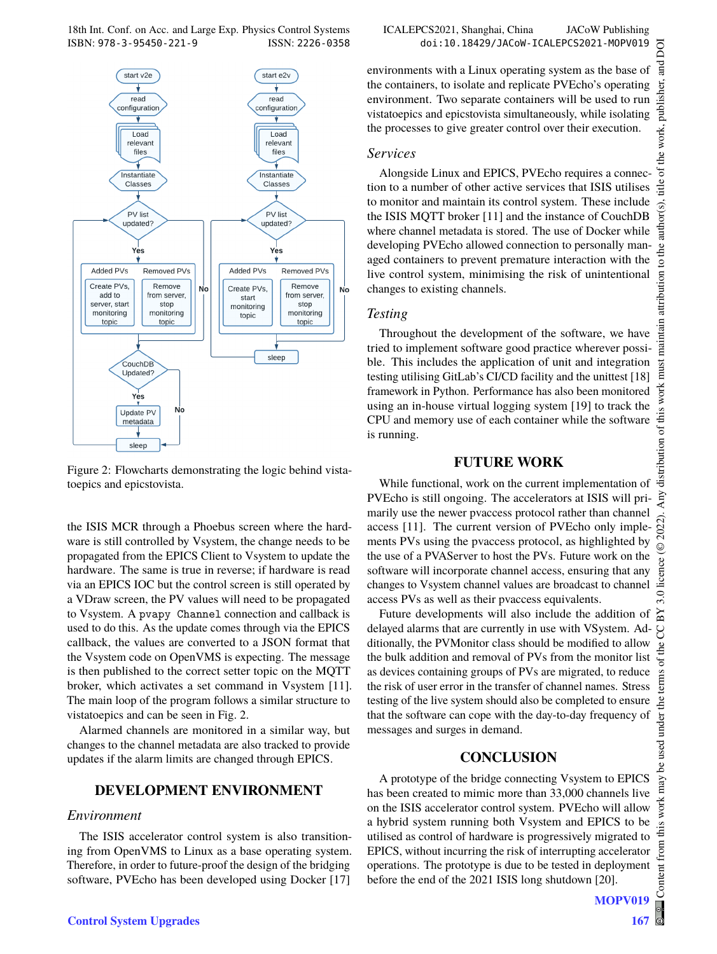

Figure 2: Flowcharts demonstrating the logic behind vistatoepics and epicstovista.

the ISIS MCR through a Phoebus screen where the hardware is still controlled by Vsystem, the change needs to be propagated from the EPICS Client to Vsystem to update the hardware. The same is true in reverse; if hardware is read via an EPICS IOC but the control screen is still operated by a VDraw screen, the PV values will need to be propagated to Vsystem. A pvapy Channel connection and callback is used to do this. As the update comes through via the EPICS callback, the values are converted to a JSON format that the Vsystem code on OpenVMS is expecting. The message is then published to the correct setter topic on the MQTT broker, which activates a set command in Vsystem [11]. The main loop of the program follows a similar structure to vistatoepics and can be seen in Fig. 2.

Alarmed channels are monitored in a similar way, but changes to the channel metadata are also tracked to provide updates if the alarm limits are changed through EPICS.

## **DEVELOPMENT ENVIRONMENT**

## *Environment*

The ISIS accelerator control system is also transitioning from OpenVMS to Linux as a base operating system. Therefore, in order to future-proof the design of the bridging software, PVEcho has been developed using Docker [17]

environments with a Linux operating system as the base of the containers, to isolate and replicate PVEcho's operating environment. Two separate containers will be used to run vistatoepics and epicstovista simultaneously, while isolating the processes to give greater control over their execution.

#### *Services*

Alongside Linux and EPICS, PVEcho requires a connection to a number of other active services that ISIS utilises to monitor and maintain its control system. These include the ISIS MQTT broker [11] and the instance of CouchDB where channel metadata is stored. The use of Docker while developing PVEcho allowed connection to personally managed containers to prevent premature interaction with the live control system, minimising the risk of unintentional changes to existing channels.

## *Testing*

Throughout the development of the software, we have tried to implement software good practice wherever possible. This includes the application of unit and integration testing utilising GitLab's CI/CD facility and the unittest [18] framework in Python. Performance has also been monitored using an in-house virtual logging system [19] to track the CPU and memory use of each container while the software is running.

## **FUTURE WORK**

While functional, work on the current implementation of PVEcho is still ongoing. The accelerators at ISIS will primarily use the newer pvaccess protocol rather than channel access [11]. The current version of PVEcho only implements PVs using the pvaccess protocol, as highlighted by the use of a PVAServer to host the PVs. Future work on the software will incorporate channel access, ensuring that any changes to Vsystem channel values are broadcast to channel access PVs as well as their pvaccess equivalents.

Future developments will also include the addition of delayed alarms that are currently in use with VSystem. Additionally, the PVMonitor class should be modified to allow the bulk addition and removal of PVs from the monitor list as devices containing groups of PVs are migrated, to reduce the risk of user error in the transfer of channel names. Stress testing of the live system should also be completed to ensure that the software can cope with the day-to-day frequency of messages and surges in demand.

# **CONCLUSION**

A prototype of the bridge connecting Vsystem to EPICS has been created to mimic more than 33,000 channels live on the ISIS accelerator control system. PVEcho will allow a hybrid system running both Vsystem and EPICS to be utilised as control of hardware is progressively migrated to EPICS, without incurring the risk of interrupting accelerator operations. The prototype is due to be tested in deployment before the end of the 2021 ISIS long shutdown [20].